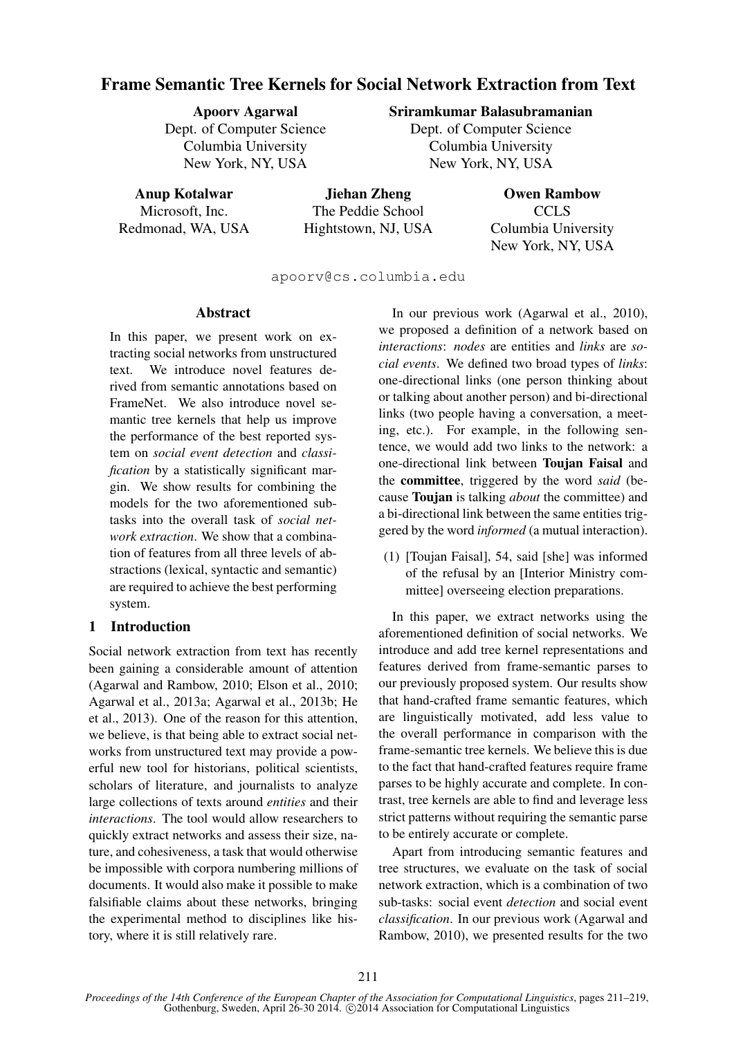# Frame Semantic Tree Kernels for Social Network Extraction from Text

Apoorv Agarwal

Dept. of Computer Science Columbia University New York, NY, USA

# Sriramkumar Balasubramanian

Dept. of Computer Science Columbia University New York, NY, USA

Anup Kotalwar

Microsoft, Inc. Redmonad, WA, USA

Jiehan Zheng The Peddie School Hightstown, NJ, USA

Owen Rambow CCLS Columbia University New York, NY, USA

apoorv@cs.columbia.edu

#### Abstract

In this paper, we present work on extracting social networks from unstructured text. We introduce novel features derived from semantic annotations based on FrameNet. We also introduce novel semantic tree kernels that help us improve the performance of the best reported system on *social event detection* and *classification* by a statistically significant margin. We show results for combining the models for the two aforementioned subtasks into the overall task of *social network extraction*. We show that a combination of features from all three levels of abstractions (lexical, syntactic and semantic) are required to achieve the best performing system.

# 1 Introduction

Social network extraction from text has recently been gaining a considerable amount of attention (Agarwal and Rambow, 2010; Elson et al., 2010; Agarwal et al., 2013a; Agarwal et al., 2013b; He et al., 2013). One of the reason for this attention, we believe, is that being able to extract social networks from unstructured text may provide a powerful new tool for historians, political scientists, scholars of literature, and journalists to analyze large collections of texts around *entities* and their *interactions*. The tool would allow researchers to quickly extract networks and assess their size, nature, and cohesiveness, a task that would otherwise be impossible with corpora numbering millions of documents. It would also make it possible to make falsifiable claims about these networks, bringing the experimental method to disciplines like history, where it is still relatively rare.

In our previous work (Agarwal et al., 2010), we proposed a definition of a network based on *interactions*: *nodes* are entities and *links* are *social events*. We defined two broad types of *links*: one-directional links (one person thinking about or talking about another person) and bi-directional links (two people having a conversation, a meeting, etc.). For example, in the following sentence, we would add two links to the network: a one-directional link between Toujan Faisal and the committee, triggered by the word *said* (because Toujan is talking *about* the committee) and a bi-directional link between the same entities triggered by the word *informed* (a mutual interaction).

(1) [Toujan Faisal], 54, said [she] was informed of the refusal by an [Interior Ministry committee] overseeing election preparations.

In this paper, we extract networks using the aforementioned definition of social networks. We introduce and add tree kernel representations and features derived from frame-semantic parses to our previously proposed system. Our results show that hand-crafted frame semantic features, which are linguistically motivated, add less value to the overall performance in comparison with the frame-semantic tree kernels. We believe this is due to the fact that hand-crafted features require frame parses to be highly accurate and complete. In contrast, tree kernels are able to find and leverage less strict patterns without requiring the semantic parse to be entirely accurate or complete.

Apart from introducing semantic features and tree structures, we evaluate on the task of social network extraction, which is a combination of two sub-tasks: social event *detection* and social event *classification*. In our previous work (Agarwal and Rambow, 2010), we presented results for the two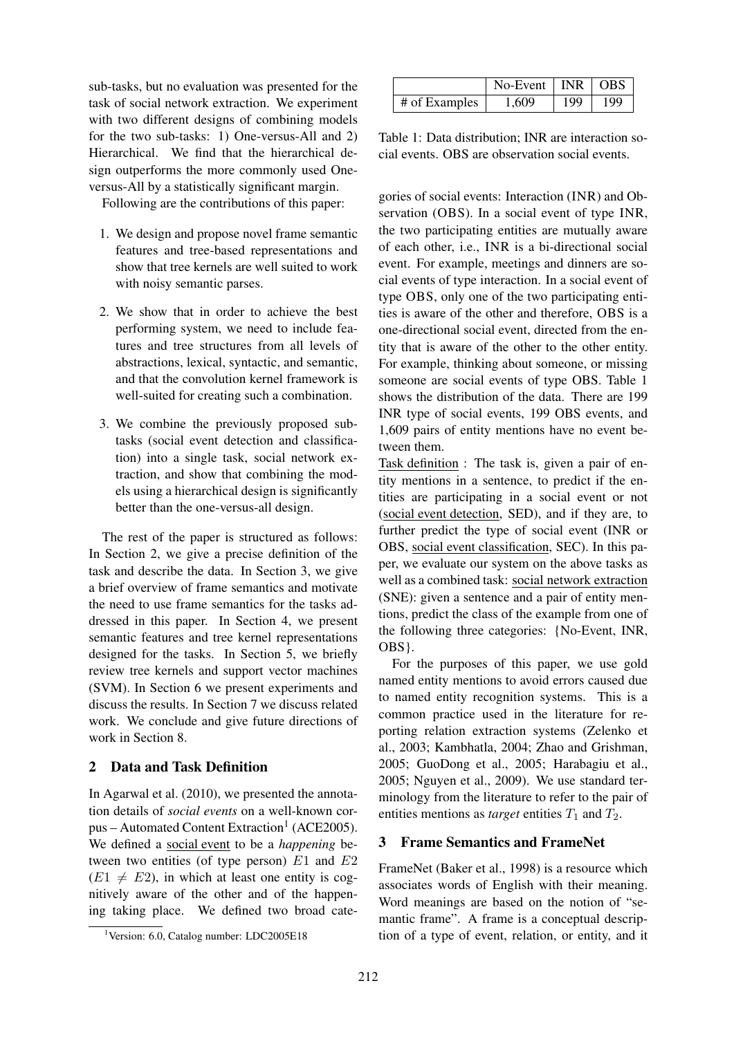sub-tasks, but no evaluation was presented for the task of social network extraction. We experiment with two different designs of combining models for the two sub-tasks: 1) One-versus-All and 2) Hierarchical. We find that the hierarchical design outperforms the more commonly used Oneversus-All by a statistically significant margin.

Following are the contributions of this paper:

- 1. We design and propose novel frame semantic features and tree-based representations and show that tree kernels are well suited to work with noisy semantic parses.
- 2. We show that in order to achieve the best performing system, we need to include features and tree structures from all levels of abstractions, lexical, syntactic, and semantic, and that the convolution kernel framework is well-suited for creating such a combination.
- 3. We combine the previously proposed subtasks (social event detection and classification) into a single task, social network extraction, and show that combining the models using a hierarchical design is significantly better than the one-versus-all design.

The rest of the paper is structured as follows: In Section 2, we give a precise definition of the task and describe the data. In Section 3, we give a brief overview of frame semantics and motivate the need to use frame semantics for the tasks addressed in this paper. In Section 4, we present semantic features and tree kernel representations designed for the tasks. In Section 5, we briefly review tree kernels and support vector machines (SVM). In Section 6 we present experiments and discuss the results. In Section 7 we discuss related work. We conclude and give future directions of work in Section 8.

# 2 Data and Task Definition

In Agarwal et al. (2010), we presented the annotation details of *social events* on a well-known corpus – Automated Content Extraction<sup>1</sup> (ACE2005). We defined a social event to be a *happening* between two entities (of type person)  $E1$  and  $E2$  $(E1 \neq E2)$ , in which at least one entity is cognitively aware of the other and of the happening taking place. We defined two broad cate-

|               | $No$ -Event   INR |     | OBS |
|---------------|-------------------|-----|-----|
| # of Examples | 1,609             | 199 | 199 |

Table 1: Data distribution; INR are interaction social events. OBS are observation social events.

gories of social events: Interaction (INR) and Observation (OBS). In a social event of type INR, the two participating entities are mutually aware of each other, i.e., INR is a bi-directional social event. For example, meetings and dinners are social events of type interaction. In a social event of type OBS, only one of the two participating entities is aware of the other and therefore, OBS is a one-directional social event, directed from the entity that is aware of the other to the other entity. For example, thinking about someone, or missing someone are social events of type OBS. Table 1 shows the distribution of the data. There are 199 INR type of social events, 199 OBS events, and 1,609 pairs of entity mentions have no event between them.

Task definition : The task is, given a pair of entity mentions in a sentence, to predict if the entities are participating in a social event or not (social event detection, SED), and if they are, to further predict the type of social event (INR or OBS, social event classification, SEC). In this paper, we evaluate our system on the above tasks as well as a combined task: social network extraction (SNE): given a sentence and a pair of entity mentions, predict the class of the example from one of the following three categories: {No-Event, INR, OBS}.

For the purposes of this paper, we use gold named entity mentions to avoid errors caused due to named entity recognition systems. This is a common practice used in the literature for reporting relation extraction systems (Zelenko et al., 2003; Kambhatla, 2004; Zhao and Grishman, 2005; GuoDong et al., 2005; Harabagiu et al., 2005; Nguyen et al., 2009). We use standard terminology from the literature to refer to the pair of entities mentions as *target* entities  $T_1$  and  $T_2$ .

#### 3 Frame Semantics and FrameNet

FrameNet (Baker et al., 1998) is a resource which associates words of English with their meaning. Word meanings are based on the notion of "semantic frame". A frame is a conceptual description of a type of event, relation, or entity, and it

<sup>&</sup>lt;sup>1</sup>Version: 6.0, Catalog number: LDC2005E18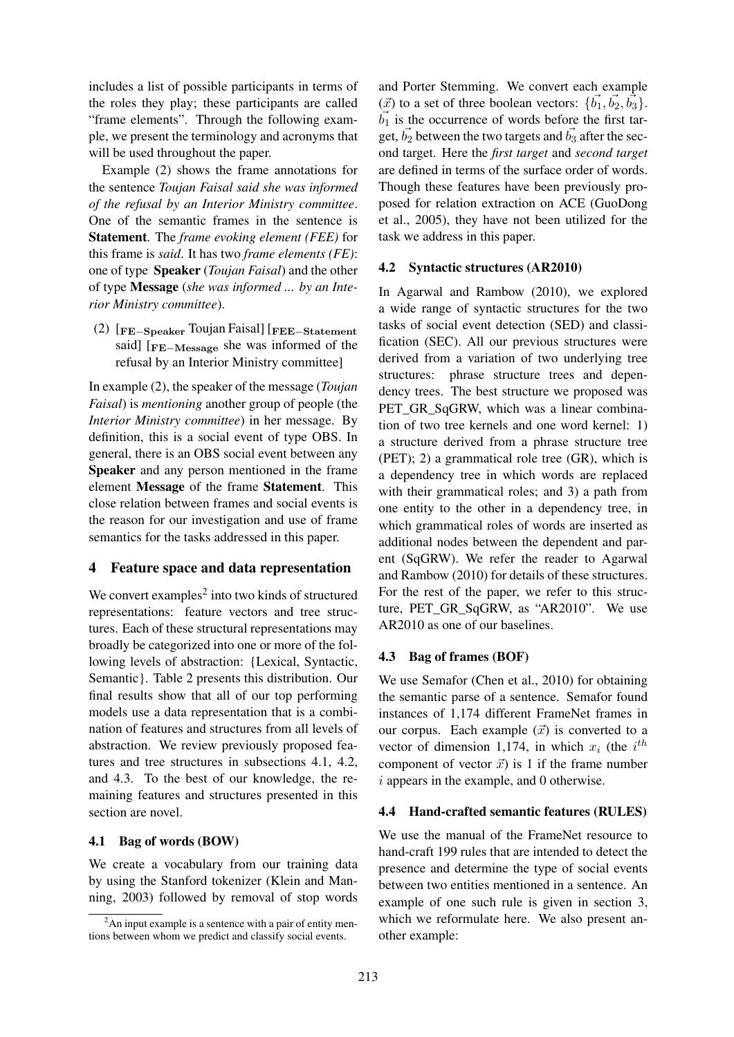includes a list of possible participants in terms of the roles they play; these participants are called "frame elements". Through the following example, we present the terminology and acronyms that will be used throughout the paper.

Example (2) shows the frame annotations for the sentence *Toujan Faisal said she was informed of the refusal by an Interior Ministry committee*. One of the semantic frames in the sentence is Statement. The *frame evoking element (FEE)* for this frame is *said*. It has two *frame elements (FE)*: one of type Speaker (*Toujan Faisal*) and the other of type Message (*she was informed ... by an Interior Ministry committee*).

(2) [FE−Speaker Toujan Faisal] [FEE−Statement said] [FE−Message she was informed of the refusal by an Interior Ministry committee]

In example (2), the speaker of the message (*Toujan Faisal*) is *mentioning* another group of people (the *Interior Ministry committee*) in her message. By definition, this is a social event of type OBS. In general, there is an OBS social event between any Speaker and any person mentioned in the frame element Message of the frame Statement. This close relation between frames and social events is the reason for our investigation and use of frame semantics for the tasks addressed in this paper.

# 4 Feature space and data representation

We convert examples $2$  into two kinds of structured representations: feature vectors and tree structures. Each of these structural representations may broadly be categorized into one or more of the following levels of abstraction: {Lexical, Syntactic, Semantic}. Table 2 presents this distribution. Our final results show that all of our top performing models use a data representation that is a combination of features and structures from all levels of abstraction. We review previously proposed features and tree structures in subsections 4.1, 4.2, and 4.3. To the best of our knowledge, the remaining features and structures presented in this section are novel.

#### 4.1 Bag of words (BOW)

We create a vocabulary from our training data by using the Stanford tokenizer (Klein and Manning, 2003) followed by removal of stop words

and Porter Stemming. We convert each example  $(\vec{x})$  to a set of three boolean vectors:  $\{\vec{b_1}, \vec{b_2}, \vec{b_3}\}.$  $b_1$  is the occurrence of words before the first target,  $\vec{b_2}$  between the two targets and  $\vec{b_3}$  after the second target. Here the *first target* and *second target* are defined in terms of the surface order of words. Though these features have been previously proposed for relation extraction on ACE (GuoDong et al., 2005), they have not been utilized for the task we address in this paper.

### 4.2 Syntactic structures (AR2010)

In Agarwal and Rambow (2010), we explored a wide range of syntactic structures for the two tasks of social event detection (SED) and classification (SEC). All our previous structures were derived from a variation of two underlying tree structures: phrase structure trees and dependency trees. The best structure we proposed was PET\_GR\_SqGRW, which was a linear combination of two tree kernels and one word kernel: 1) a structure derived from a phrase structure tree (PET); 2) a grammatical role tree (GR), which is a dependency tree in which words are replaced with their grammatical roles; and 3) a path from one entity to the other in a dependency tree, in which grammatical roles of words are inserted as additional nodes between the dependent and parent (SqGRW). We refer the reader to Agarwal and Rambow (2010) for details of these structures. For the rest of the paper, we refer to this structure, PET\_GR\_SqGRW, as "AR2010". We use AR2010 as one of our baselines.

# 4.3 Bag of frames (BOF)

We use Semafor (Chen et al., 2010) for obtaining the semantic parse of a sentence. Semafor found instances of 1,174 different FrameNet frames in our corpus. Each example  $(\vec{x})$  is converted to a vector of dimension 1,174, in which  $x_i$  (the  $i^{th}$ component of vector  $\vec{x}$ ) is 1 if the frame number  $i$  appears in the example, and 0 otherwise.

#### 4.4 Hand-crafted semantic features (RULES)

We use the manual of the FrameNet resource to hand-craft 199 rules that are intended to detect the presence and determine the type of social events between two entities mentioned in a sentence. An example of one such rule is given in section 3, which we reformulate here. We also present another example:

 $2<sup>2</sup>$ An input example is a sentence with a pair of entity mentions between whom we predict and classify social events.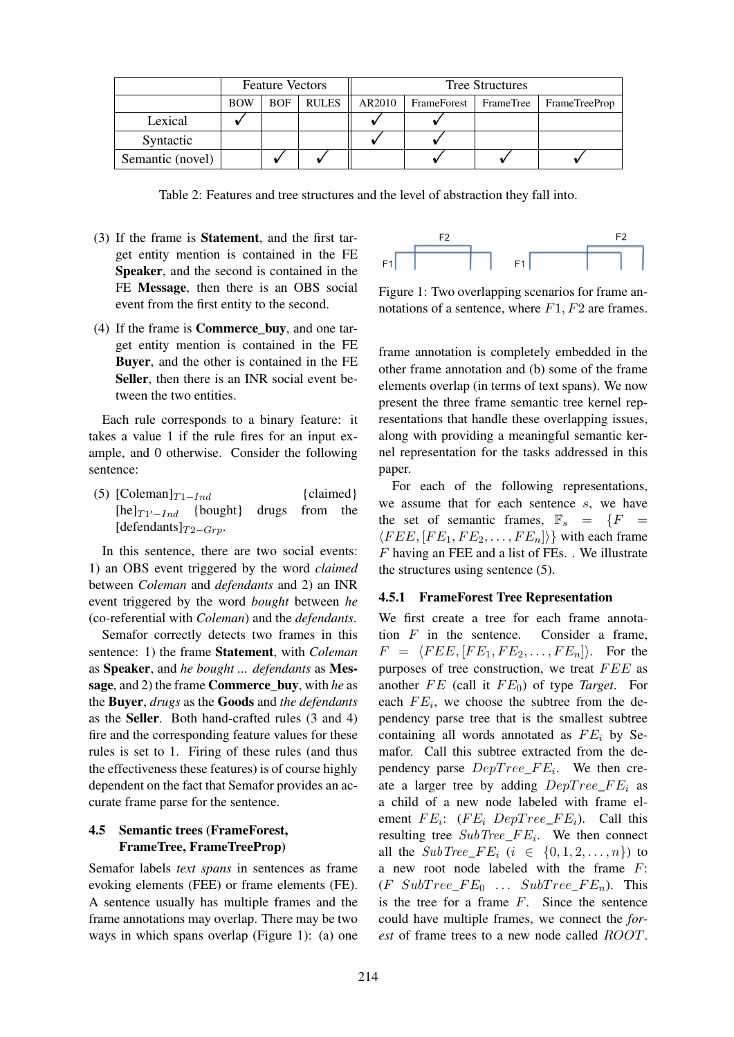|                  | <b>Feature Vectors</b> |            |              | <b>Tree Structures</b> |             |             |               |  |
|------------------|------------------------|------------|--------------|------------------------|-------------|-------------|---------------|--|
|                  | <b>BOW</b>             | <b>BOF</b> | <b>RULES</b> | AR2010                 | FrameForest | FrameTree 1 | FrameTreeProp |  |
| Lexical          |                        |            |              |                        |             |             |               |  |
| Syntactic        |                        |            |              |                        |             |             |               |  |
| Semantic (novel) |                        |            |              |                        |             |             |               |  |

Table 2: Features and tree structures and the level of abstraction they fall into.

- (3) If the frame is Statement, and the first target entity mention is contained in the FE Speaker, and the second is contained in the FE Message, then there is an OBS social event from the first entity to the second.
- (4) If the frame is Commerce\_buy, and one target entity mention is contained in the FE Buyer, and the other is contained in the FE Seller, then there is an INR social event between the two entities.

Each rule corresponds to a binary feature: it takes a value 1 if the rule fires for an input example, and 0 otherwise. Consider the following sentence:

(5)  $[Coleman]_{T1-Ind}$  {claimed}<br>[he] $_{T1'-Ind}$  {bought} drugs from the  $[he]_{T1' - Ind}$  {bought} drugs from the [defendants] $_{T2-Grp}$ .

In this sentence, there are two social events: 1) an OBS event triggered by the word *claimed* between *Coleman* and *defendants* and 2) an INR event triggered by the word *bought* between *he* (co-referential with *Coleman*) and the *defendants*.

Semafor correctly detects two frames in this sentence: 1) the frame Statement, with *Coleman* as Speaker, and *he bought ... defendants* as Message, and 2) the frame Commerce\_buy, with *he* as the Buyer, *drugs* as the Goods and *the defendants* as the Seller. Both hand-crafted rules (3 and 4) fire and the corresponding feature values for these rules is set to 1. Firing of these rules (and thus the effectiveness these features) is of course highly dependent on the fact that Semafor provides an accurate frame parse for the sentence.

# 4.5 Semantic trees (FrameForest, FrameTree, FrameTreeProp)

Semafor labels *text spans* in sentences as frame evoking elements (FEE) or frame elements (FE). A sentence usually has multiple frames and the frame annotations may overlap. There may be two ways in which spans overlap (Figure 1): (a) one



Figure 1: Two overlapping scenarios for frame annotations of a sentence, where  $F1, F2$  are frames.

frame annotation is completely embedded in the other frame annotation and (b) some of the frame elements overlap (in terms of text spans). We now present the three frame semantic tree kernel representations that handle these overlapping issues, along with providing a meaningful semantic kernel representation for the tasks addressed in this paper.

For each of the following representations, we assume that for each sentence s, we have the set of semantic frames,  $\mathbb{F}_s = \{F =$  $\langle FEE, [FE_1, FE_2, \ldots, FE_n] \rangle$  with each frame F having an FEE and a list of FEs. . We illustrate the structures using sentence (5).

#### 4.5.1 FrameForest Tree Representation

We first create a tree for each frame annotation  $F$  in the sentence. Consider a frame,  $F = \langle FEE, [FE_1, FE_2, \ldots, FE_n] \rangle$ . For the purposes of tree construction, we treat  $FEE$  as another  $FE$  (call it  $FE_0$ ) of type *Target*. For each  $FE_i$ , we choose the subtree from the dependency parse tree that is the smallest subtree containing all words annotated as  $FE_i$  by Semafor. Call this subtree extracted from the dependency parse  $DepTree\_FE_i$ . We then create a larger tree by adding  $DepTree\_FE_i$  as a child of a new node labeled with frame element  $FE_i$ :  $(FE_i \tDepTree\_FE_i)$ . Call this resulting tree  $SubTree\_FE_i$ . We then connect all the  $SubTree\_FE_i$   $(i \in \{0, 1, 2, \ldots, n\})$  to a new root node labeled with the frame F:  $(F \text{SubTree\_FE}_0 \dots \text{SubTree\_FE}_n)$ . This is the tree for a frame  $F$ . Since the sentence could have multiple frames, we connect the *forest* of frame trees to a new node called ROOT.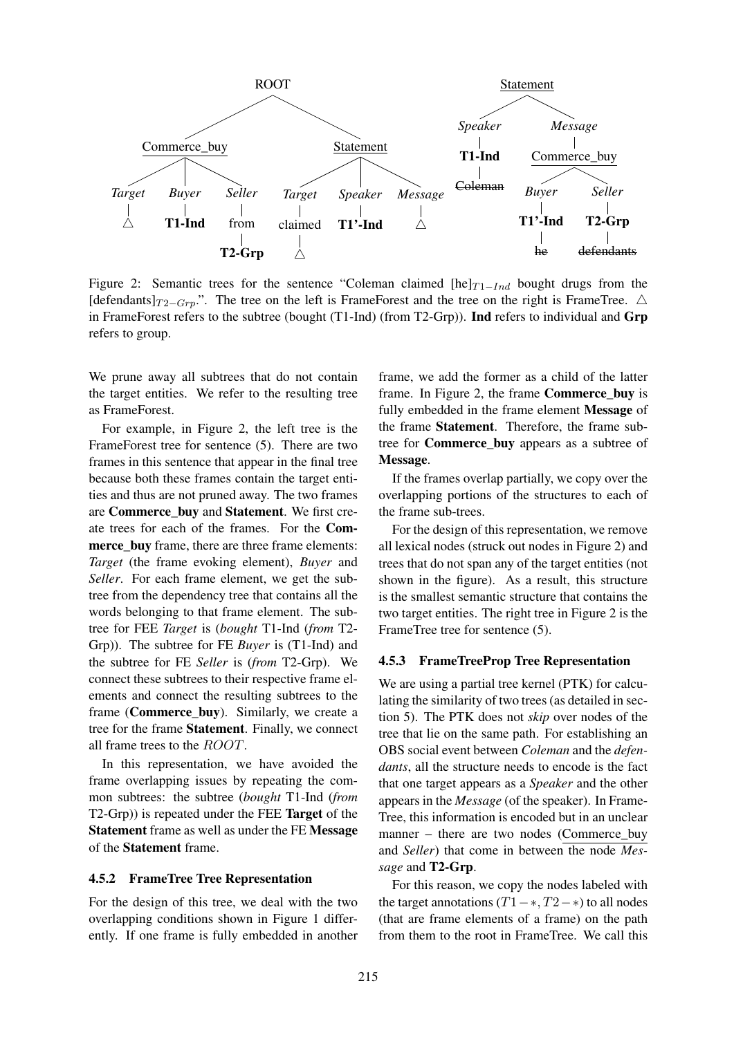

Figure 2: Semantic trees for the sentence "Coleman claimed [he] $T_{1-Ind}$  bought drugs from the [defendants] $_{T2-Grp}$ .". The tree on the left is FrameForest and the tree on the right is FrameTree.  $\triangle$ in FrameForest refers to the subtree (bought (T1-Ind) (from T2-Grp)). Ind refers to individual and Grp refers to group.

We prune away all subtrees that do not contain the target entities. We refer to the resulting tree as FrameForest.

For example, in Figure 2, the left tree is the FrameForest tree for sentence (5). There are two frames in this sentence that appear in the final tree because both these frames contain the target entities and thus are not pruned away. The two frames are Commerce buy and Statement. We first create trees for each of the frames. For the Commerce\_buy frame, there are three frame elements: *Target* (the frame evoking element), *Buyer* and *Seller*. For each frame element, we get the subtree from the dependency tree that contains all the words belonging to that frame element. The subtree for FEE *Target* is (*bought* T1-Ind (*from* T2- Grp)). The subtree for FE *Buyer* is (T1-Ind) and the subtree for FE *Seller* is (*from* T2-Grp). We connect these subtrees to their respective frame elements and connect the resulting subtrees to the frame (**Commerce\_buy**). Similarly, we create a tree for the frame Statement. Finally, we connect all frame trees to the ROOT.

In this representation, we have avoided the frame overlapping issues by repeating the common subtrees: the subtree (*bought* T1-Ind (*from* T2-Grp)) is repeated under the FEE Target of the Statement frame as well as under the FE Message of the Statement frame.

#### 4.5.2 FrameTree Tree Representation

For the design of this tree, we deal with the two overlapping conditions shown in Figure 1 differently. If one frame is fully embedded in another

frame, we add the former as a child of the latter frame. In Figure 2, the frame Commerce\_buy is fully embedded in the frame element Message of the frame Statement. Therefore, the frame subtree for Commerce\_buy appears as a subtree of Message.

If the frames overlap partially, we copy over the overlapping portions of the structures to each of the frame sub-trees.

For the design of this representation, we remove all lexical nodes (struck out nodes in Figure 2) and trees that do not span any of the target entities (not shown in the figure). As a result, this structure is the smallest semantic structure that contains the two target entities. The right tree in Figure 2 is the FrameTree tree for sentence (5).

#### 4.5.3 FrameTreeProp Tree Representation

We are using a partial tree kernel (PTK) for calculating the similarity of two trees (as detailed in section 5). The PTK does not *skip* over nodes of the tree that lie on the same path. For establishing an OBS social event between *Coleman* and the *defendants*, all the structure needs to encode is the fact that one target appears as a *Speaker* and the other appears in the *Message* (of the speaker). In Frame-Tree, this information is encoded but in an unclear manner – there are two nodes (Commerce\_buy and *Seller*) that come in between the node *Message* and T2-Grp.

For this reason, we copy the nodes labeled with the target annotations  $(T1 - *, T2 - *)$  to all nodes (that are frame elements of a frame) on the path from them to the root in FrameTree. We call this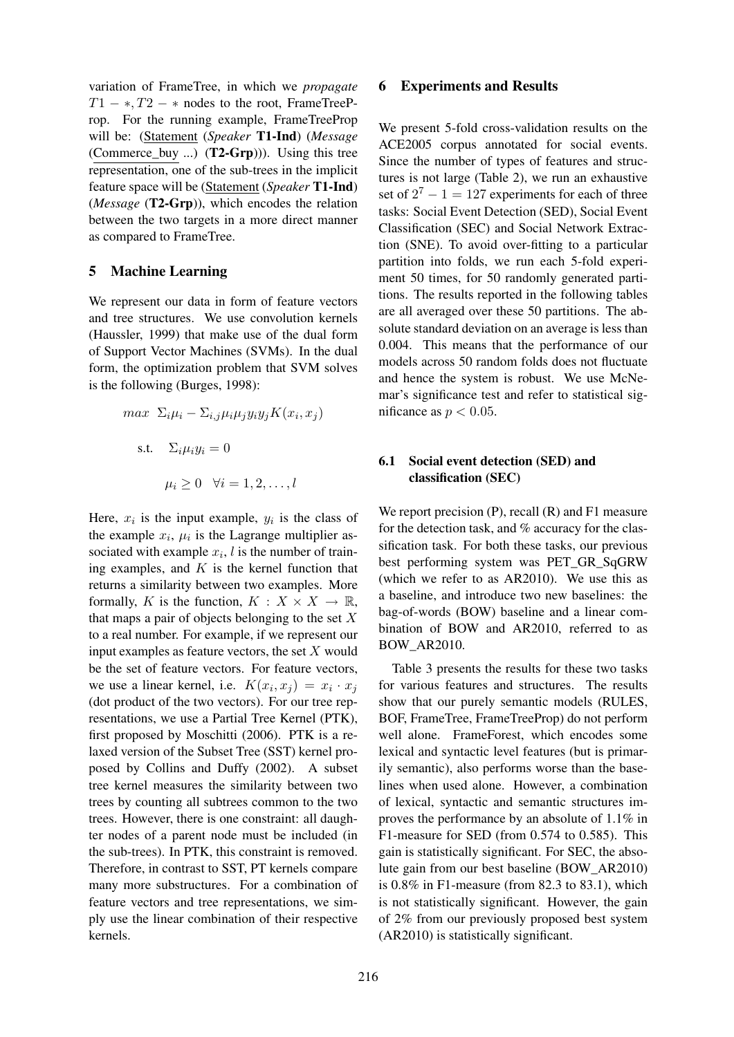variation of FrameTree, in which we *propagate*  $T1 - *, T2 - *$  nodes to the root, FrameTreeProp. For the running example, FrameTreeProp will be: (Statement (*Speaker* T1-Ind) (*Message* (Commerce\_buy ...) (T2-Grp))). Using this tree representation, one of the sub-trees in the implicit feature space will be (Statement (*Speaker* T1-Ind) (*Message* (T2-Grp)), which encodes the relation between the two targets in a more direct manner as compared to FrameTree.

### 5 Machine Learning

We represent our data in form of feature vectors and tree structures. We use convolution kernels (Haussler, 1999) that make use of the dual form of Support Vector Machines (SVMs). In the dual form, the optimization problem that SVM solves is the following (Burges, 1998):

$$
max \ \Sigma_i \mu_i - \Sigma_{i,j} \mu_i \mu_j y_i y_j K(x_i, x_j)
$$
  
s.t.  $\Sigma_i \mu_i y_i = 0$   
 $\mu_i \ge 0 \ \forall i = 1, 2, ..., l$ 

Here,  $x_i$  is the input example,  $y_i$  is the class of the example  $x_i$ ,  $\mu_i$  is the Lagrange multiplier associated with example  $x_i$ , l is the number of training examples, and  $K$  is the kernel function that returns a similarity between two examples. More formally, K is the function,  $K : X \times X \to \mathbb{R}$ , that maps a pair of objects belonging to the set  $X$ to a real number. For example, if we represent our input examples as feature vectors, the set  $X$  would be the set of feature vectors. For feature vectors, we use a linear kernel, i.e.  $K(x_i, x_j) = x_i \cdot x_j$ (dot product of the two vectors). For our tree representations, we use a Partial Tree Kernel (PTK), first proposed by Moschitti (2006). PTK is a relaxed version of the Subset Tree (SST) kernel proposed by Collins and Duffy (2002). A subset tree kernel measures the similarity between two trees by counting all subtrees common to the two trees. However, there is one constraint: all daughter nodes of a parent node must be included (in the sub-trees). In PTK, this constraint is removed. Therefore, in contrast to SST, PT kernels compare many more substructures. For a combination of feature vectors and tree representations, we simply use the linear combination of their respective kernels.

#### 6 Experiments and Results

We present 5-fold cross-validation results on the ACE2005 corpus annotated for social events. Since the number of types of features and structures is not large (Table 2), we run an exhaustive set of  $2^7 - 1 = 127$  experiments for each of three tasks: Social Event Detection (SED), Social Event Classification (SEC) and Social Network Extraction (SNE). To avoid over-fitting to a particular partition into folds, we run each 5-fold experiment 50 times, for 50 randomly generated partitions. The results reported in the following tables are all averaged over these 50 partitions. The absolute standard deviation on an average is less than 0.004. This means that the performance of our models across 50 random folds does not fluctuate and hence the system is robust. We use McNemar's significance test and refer to statistical significance as  $p < 0.05$ .

### 6.1 Social event detection (SED) and classification (SEC)

We report precision  $(P)$ , recall  $(R)$  and  $F1$  measure for the detection task, and % accuracy for the classification task. For both these tasks, our previous best performing system was PET\_GR\_SqGRW (which we refer to as AR2010). We use this as a baseline, and introduce two new baselines: the bag-of-words (BOW) baseline and a linear combination of BOW and AR2010, referred to as BOW\_AR2010.

Table 3 presents the results for these two tasks for various features and structures. The results show that our purely semantic models (RULES, BOF, FrameTree, FrameTreeProp) do not perform well alone. FrameForest, which encodes some lexical and syntactic level features (but is primarily semantic), also performs worse than the baselines when used alone. However, a combination of lexical, syntactic and semantic structures improves the performance by an absolute of 1.1% in F1-measure for SED (from 0.574 to 0.585). This gain is statistically significant. For SEC, the absolute gain from our best baseline (BOW\_AR2010) is 0.8% in F1-measure (from 82.3 to 83.1), which is not statistically significant. However, the gain of 2% from our previously proposed best system (AR2010) is statistically significant.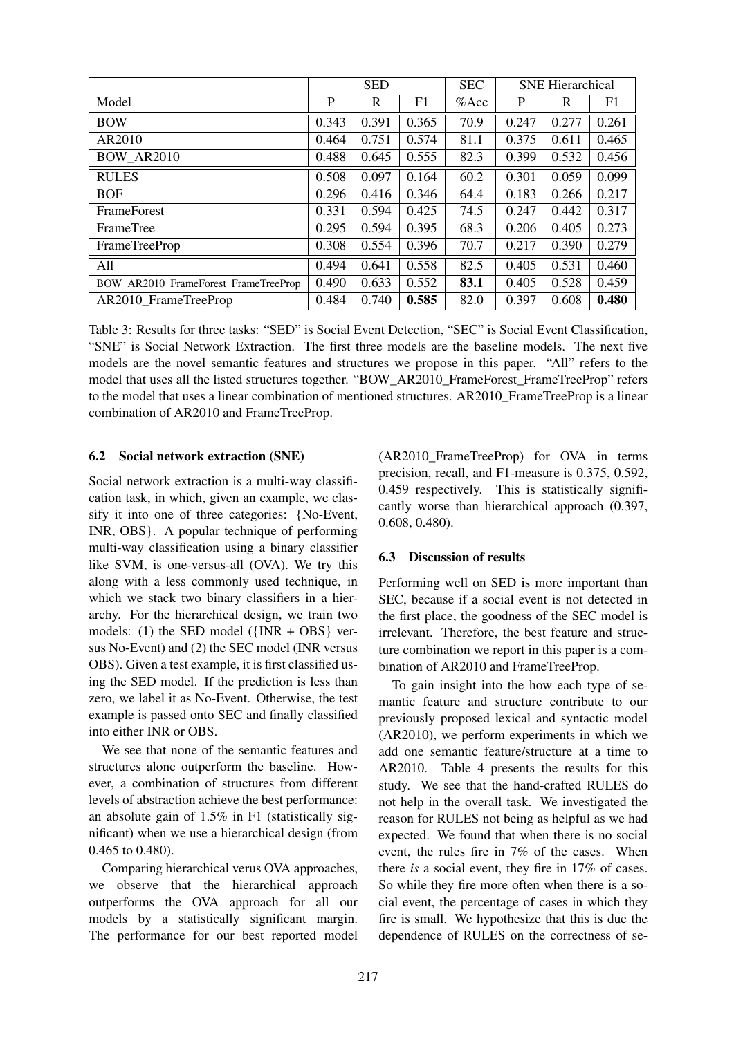|                                      | <b>SED</b> |       |       | <b>SEC</b> | <b>SNE</b> Hierarchical |       |       |
|--------------------------------------|------------|-------|-------|------------|-------------------------|-------|-------|
| Model                                | P          | R     | F1    | $%$ Acc    | P                       | R     | F1    |
| <b>BOW</b>                           | 0.343      | 0.391 | 0.365 | 70.9       | 0.247                   | 0.277 | 0.261 |
| AR2010                               | 0.464      | 0.751 | 0.574 | 81.1       | 0.375                   | 0.611 | 0.465 |
| <b>BOW AR2010</b>                    | 0.488      | 0.645 | 0.555 | 82.3       | 0.399                   | 0.532 | 0.456 |
| <b>RULES</b>                         | 0.508      | 0.097 | 0.164 | 60.2       | 0.301                   | 0.059 | 0.099 |
| <b>BOF</b>                           | 0.296      | 0.416 | 0.346 | 64.4       | 0.183                   | 0.266 | 0.217 |
| <b>FrameForest</b>                   | 0.331      | 0.594 | 0.425 | 74.5       | 0.247                   | 0.442 | 0.317 |
| FrameTree                            | 0.295      | 0.594 | 0.395 | 68.3       | 0.206                   | 0.405 | 0.273 |
| <b>FrameTreeProp</b>                 | 0.308      | 0.554 | 0.396 | 70.7       | 0.217                   | 0.390 | 0.279 |
| All                                  | 0.494      | 0.641 | 0.558 | 82.5       | 0.405                   | 0.531 | 0.460 |
| BOW AR2010 FrameForest FrameTreeProp | 0.490      | 0.633 | 0.552 | 83.1       | 0.405                   | 0.528 | 0.459 |
| AR2010 FrameTreeProp                 | 0.484      | 0.740 | 0.585 | 82.0       | 0.397                   | 0.608 | 0.480 |

Table 3: Results for three tasks: "SED" is Social Event Detection, "SEC" is Social Event Classification, "SNE" is Social Network Extraction. The first three models are the baseline models. The next five models are the novel semantic features and structures we propose in this paper. "All" refers to the model that uses all the listed structures together. "BOW\_AR2010\_FrameForest\_FrameTreeProp" refers to the model that uses a linear combination of mentioned structures. AR2010\_FrameTreeProp is a linear combination of AR2010 and FrameTreeProp.

# 6.2 Social network extraction (SNE)

Social network extraction is a multi-way classification task, in which, given an example, we classify it into one of three categories: {No-Event, INR, OBS}. A popular technique of performing multi-way classification using a binary classifier like SVM, is one-versus-all (OVA). We try this along with a less commonly used technique, in which we stack two binary classifiers in a hierarchy. For the hierarchical design, we train two models: (1) the SED model ({INR + OBS} versus No-Event) and (2) the SEC model (INR versus OBS). Given a test example, it is first classified using the SED model. If the prediction is less than zero, we label it as No-Event. Otherwise, the test example is passed onto SEC and finally classified into either INR or OBS.

We see that none of the semantic features and structures alone outperform the baseline. However, a combination of structures from different levels of abstraction achieve the best performance: an absolute gain of 1.5% in F1 (statistically significant) when we use a hierarchical design (from 0.465 to 0.480).

Comparing hierarchical verus OVA approaches, we observe that the hierarchical approach outperforms the OVA approach for all our models by a statistically significant margin. The performance for our best reported model

(AR2010\_FrameTreeProp) for OVA in terms precision, recall, and F1-measure is 0.375, 0.592, 0.459 respectively. This is statistically significantly worse than hierarchical approach (0.397, 0.608, 0.480).

# 6.3 Discussion of results

Performing well on SED is more important than SEC, because if a social event is not detected in the first place, the goodness of the SEC model is irrelevant. Therefore, the best feature and structure combination we report in this paper is a combination of AR2010 and FrameTreeProp.

To gain insight into the how each type of semantic feature and structure contribute to our previously proposed lexical and syntactic model (AR2010), we perform experiments in which we add one semantic feature/structure at a time to AR2010. Table 4 presents the results for this study. We see that the hand-crafted RULES do not help in the overall task. We investigated the reason for RULES not being as helpful as we had expected. We found that when there is no social event, the rules fire in 7% of the cases. When there *is* a social event, they fire in 17% of cases. So while they fire more often when there is a social event, the percentage of cases in which they fire is small. We hypothesize that this is due the dependence of RULES on the correctness of se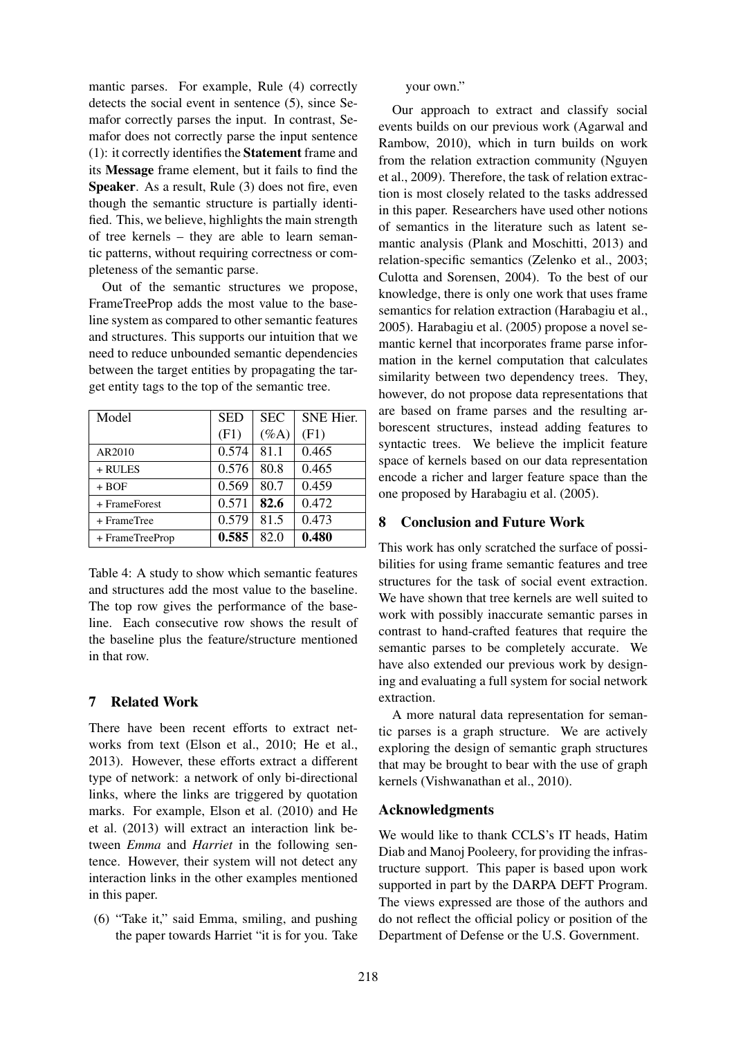mantic parses. For example, Rule (4) correctly detects the social event in sentence (5), since Semafor correctly parses the input. In contrast, Semafor does not correctly parse the input sentence (1): it correctly identifies the Statement frame and its Message frame element, but it fails to find the Speaker. As a result, Rule (3) does not fire, even though the semantic structure is partially identified. This, we believe, highlights the main strength of tree kernels – they are able to learn semantic patterns, without requiring correctness or completeness of the semantic parse.

Out of the semantic structures we propose, FrameTreeProp adds the most value to the baseline system as compared to other semantic features and structures. This supports our intuition that we need to reduce unbounded semantic dependencies between the target entities by propagating the target entity tags to the top of the semantic tree.

| Model           | <b>SED</b> | <b>SEC</b> | <b>SNE Hier.</b> |
|-----------------|------------|------------|------------------|
|                 | (F1)       | $(\%A)$    | (F1)             |
| AR2010          | 0.574      | 81.1       | 0.465            |
| + RULES         | 0.576      | 80.8       | 0.465            |
| $+ BOF$         | 0.569      | 80.7       | 0.459            |
| + FrameForest   | 0.571      | 82.6       | 0.472            |
| $+$ Frame Tree  | 0.579      | 81.5       | 0.473            |
| + FrameTreeProp | 0.585      | 82.0       | 0.480            |

Table 4: A study to show which semantic features and structures add the most value to the baseline. The top row gives the performance of the baseline. Each consecutive row shows the result of the baseline plus the feature/structure mentioned in that row.

# 7 Related Work

There have been recent efforts to extract networks from text (Elson et al., 2010; He et al., 2013). However, these efforts extract a different type of network: a network of only bi-directional links, where the links are triggered by quotation marks. For example, Elson et al. (2010) and He et al. (2013) will extract an interaction link between *Emma* and *Harriet* in the following sentence. However, their system will not detect any interaction links in the other examples mentioned in this paper.

(6) "Take it," said Emma, smiling, and pushing the paper towards Harriet "it is for you. Take your own."

Our approach to extract and classify social events builds on our previous work (Agarwal and Rambow, 2010), which in turn builds on work from the relation extraction community (Nguyen et al., 2009). Therefore, the task of relation extraction is most closely related to the tasks addressed in this paper. Researchers have used other notions of semantics in the literature such as latent semantic analysis (Plank and Moschitti, 2013) and relation-specific semantics (Zelenko et al., 2003; Culotta and Sorensen, 2004). To the best of our knowledge, there is only one work that uses frame semantics for relation extraction (Harabagiu et al., 2005). Harabagiu et al. (2005) propose a novel semantic kernel that incorporates frame parse information in the kernel computation that calculates similarity between two dependency trees. They, however, do not propose data representations that are based on frame parses and the resulting arborescent structures, instead adding features to syntactic trees. We believe the implicit feature space of kernels based on our data representation encode a richer and larger feature space than the one proposed by Harabagiu et al. (2005).

# **Conclusion and Future Work**

This work has only scratched the surface of possibilities for using frame semantic features and tree structures for the task of social event extraction. We have shown that tree kernels are well suited to work with possibly inaccurate semantic parses in contrast to hand-crafted features that require the semantic parses to be completely accurate. We have also extended our previous work by designing and evaluating a full system for social network extraction.

A more natural data representation for semantic parses is a graph structure. We are actively exploring the design of semantic graph structures that may be brought to bear with the use of graph kernels (Vishwanathan et al., 2010).

# Acknowledgments

We would like to thank CCLS's IT heads, Hatim Diab and Manoj Pooleery, for providing the infrastructure support. This paper is based upon work supported in part by the DARPA DEFT Program. The views expressed are those of the authors and do not reflect the official policy or position of the Department of Defense or the U.S. Government.